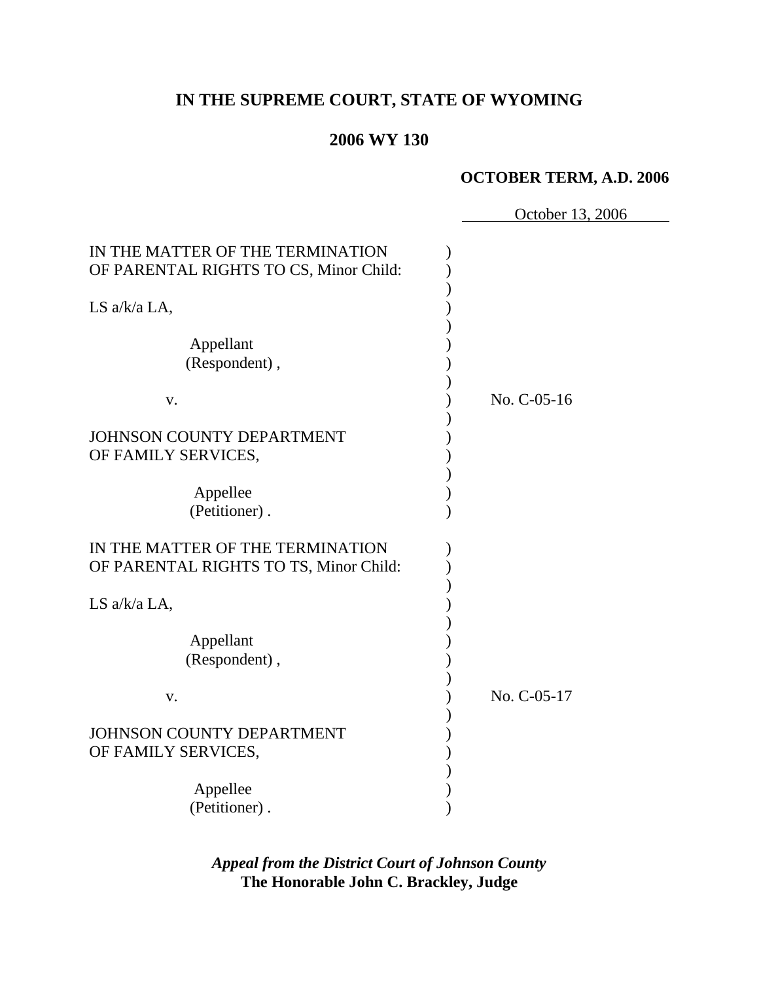# **IN THE SUPREME COURT, STATE OF WYOMING**

## **2006 WY 130**

#### **OCTOBER TERM, A.D. 2006**

 October 13, 2006 IN THE MATTER OF THE TERMINATION  $\qquad\qquad$  ) OF PARENTAL RIGHTS TO CS, Minor Child:  $\overline{\phantom{a}}$ LS  $a/k/a$  LA,  $\overline{\phantom{a}}$  Appellant ) (Respondent),  $\overline{\phantom{a}}$  v. ) No. C-05-16  $\overline{\phantom{a}}$ JOHNSON COUNTY DEPARTMENT (1999) OF FAMILY SERVICES,  $\overline{\phantom{a}}$ Appellee (b) (Petitioner) . IN THE MATTER OF THE TERMINATION  $\qquad\qquad$  ) OF PARENTAL RIGHTS TO TS, Minor Child:  $\overline{\phantom{a}}$ LS  $a/k/a$  LA,  $\overline{\phantom{a}}$  Appellant ) (Respondent),  $\overline{\phantom{a}}$  v. ) No. C-05-17  $\overline{\phantom{a}}$ JOHNSON COUNTY DEPARTMENT OF FAMILY SERVICES,  $\overline{\phantom{a}}$ Appellee (b) (Petitioner) .

> *Appeal from the District Court of Johnson County* **The Honorable John C. Brackley, Judge**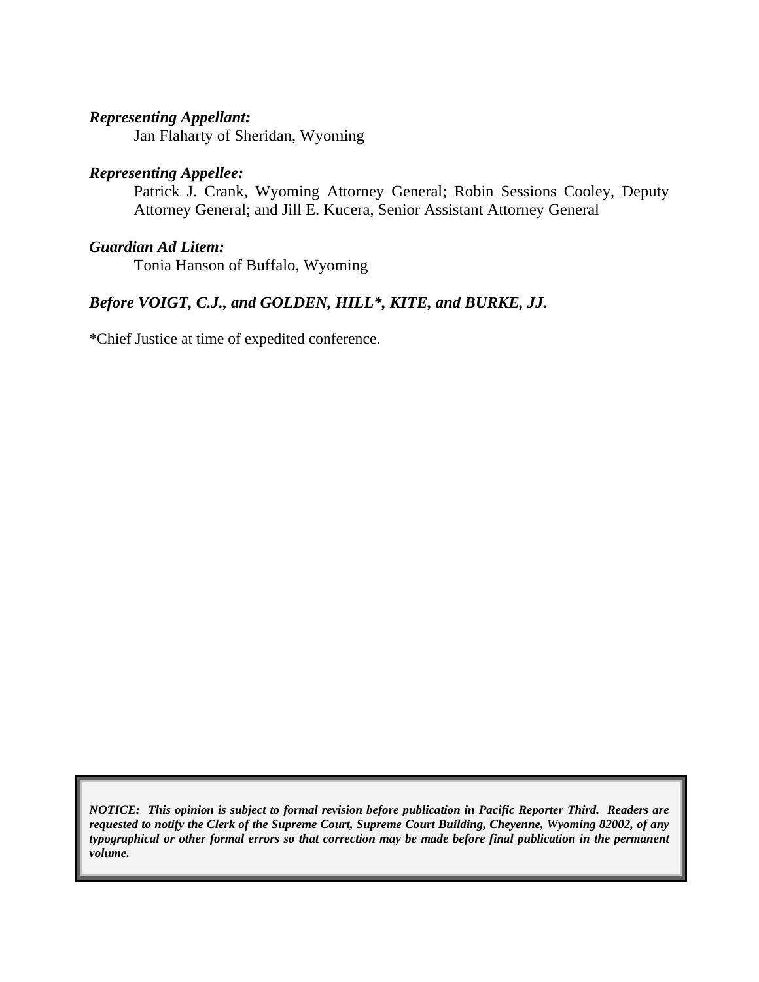## *Representing Appellant:*

Jan Flaharty of Sheridan, Wyoming

# *Representing Appellee:*

Patrick J. Crank, Wyoming Attorney General; Robin Sessions Cooley, Deputy Attorney General; and Jill E. Kucera, Senior Assistant Attorney General

#### *Guardian Ad Litem:*

Tonia Hanson of Buffalo, Wyoming

# *Before VOIGT, C.J., and GOLDEN, HILL\*, KITE, and BURKE, JJ.*

\*Chief Justice at time of expedited conference.

*NOTICE: This opinion is subject to formal revision before publication in Pacific Reporter Third. Readers are requested to notify the Clerk of the Supreme Court, Supreme Court Building, Cheyenne, Wyoming 82002, of any typographical or other formal errors so that correction may be made before final publication in the permanent volume.*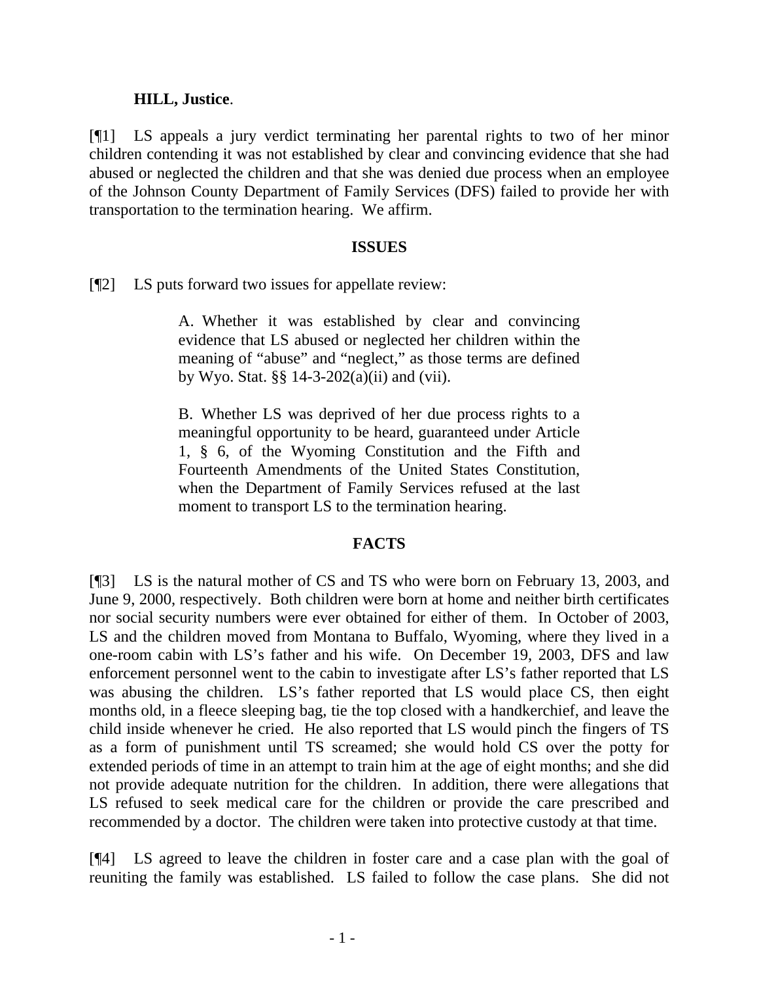### **HILL, Justice**.

[¶1] LS appeals a jury verdict terminating her parental rights to two of her minor children contending it was not established by clear and convincing evidence that she had abused or neglected the children and that she was denied due process when an employee of the Johnson County Department of Family Services (DFS) failed to provide her with transportation to the termination hearing. We affirm.

#### **ISSUES**

[¶2] LS puts forward two issues for appellate review:

A. Whether it was established by clear and convincing evidence that LS abused or neglected her children within the meaning of "abuse" and "neglect," as those terms are defined by Wyo. Stat. §§ 14-3-202(a)(ii) and (vii).

B. Whether LS was deprived of her due process rights to a meaningful opportunity to be heard, guaranteed under Article 1, § 6, of the Wyoming Constitution and the Fifth and Fourteenth Amendments of the United States Constitution, when the Department of Family Services refused at the last moment to transport LS to the termination hearing.

### **FACTS**

[¶3] LS is the natural mother of CS and TS who were born on February 13, 2003, and June 9, 2000, respectively. Both children were born at home and neither birth certificates nor social security numbers were ever obtained for either of them. In October of 2003, LS and the children moved from Montana to Buffalo, Wyoming, where they lived in a one-room cabin with LS's father and his wife. On December 19, 2003, DFS and law enforcement personnel went to the cabin to investigate after LS's father reported that LS was abusing the children. LS's father reported that LS would place CS, then eight months old, in a fleece sleeping bag, tie the top closed with a handkerchief, and leave the child inside whenever he cried. He also reported that LS would pinch the fingers of TS as a form of punishment until TS screamed; she would hold CS over the potty for extended periods of time in an attempt to train him at the age of eight months; and she did not provide adequate nutrition for the children. In addition, there were allegations that LS refused to seek medical care for the children or provide the care prescribed and recommended by a doctor. The children were taken into protective custody at that time.

[¶4] LS agreed to leave the children in foster care and a case plan with the goal of reuniting the family was established. LS failed to follow the case plans. She did not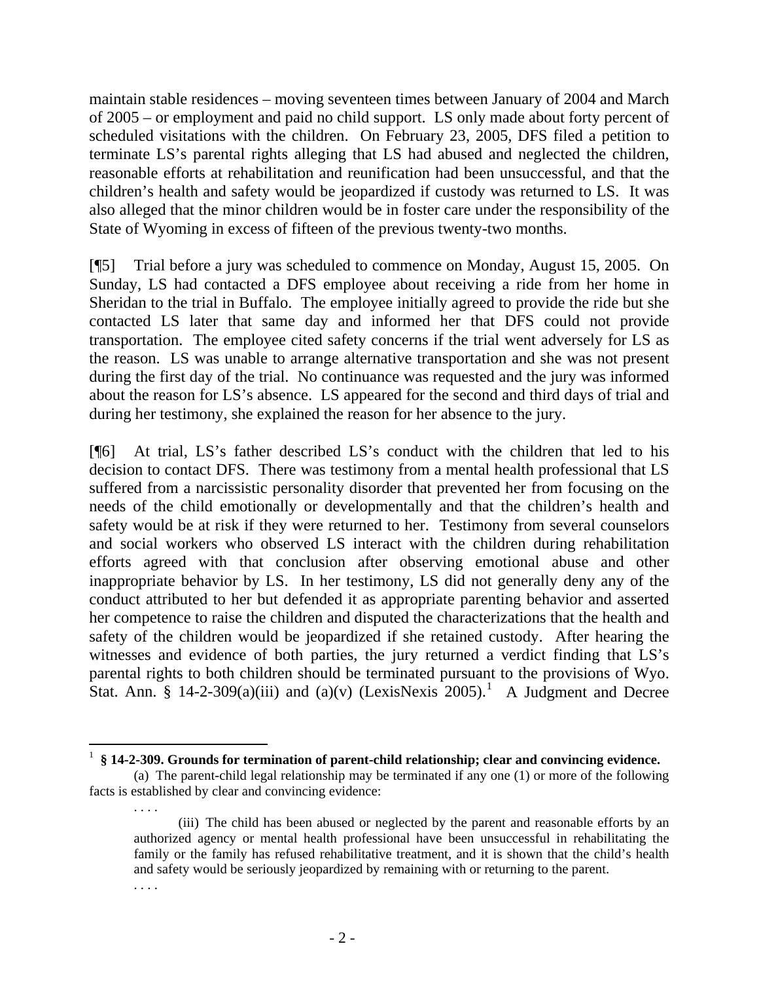maintain stable residences – moving seventeen times between January of 2004 and March of 2005 – or employment and paid no child support. LS only made about forty percent of scheduled visitations with the children. On February 23, 2005, DFS filed a petition to terminate LS's parental rights alleging that LS had abused and neglected the children, reasonable efforts at rehabilitation and reunification had been unsuccessful, and that the children's health and safety would be jeopardized if custody was returned to LS. It was also alleged that the minor children would be in foster care under the responsibility of the State of Wyoming in excess of fifteen of the previous twenty-two months.

[¶5] Trial before a jury was scheduled to commence on Monday, August 15, 2005. On Sunday, LS had contacted a DFS employee about receiving a ride from her home in Sheridan to the trial in Buffalo. The employee initially agreed to provide the ride but she contacted LS later that same day and informed her that DFS could not provide transportation. The employee cited safety concerns if the trial went adversely for LS as the reason. LS was unable to arrange alternative transportation and she was not present during the first day of the trial. No continuance was requested and the jury was informed about the reason for LS's absence. LS appeared for the second and third days of trial and during her testimony, she explained the reason for her absence to the jury.

[¶6] At trial, LS's father described LS's conduct with the children that led to his decision to contact DFS. There was testimony from a mental health professional that LS suffered from a narcissistic personality disorder that prevented her from focusing on the needs of the child emotionally or developmentally and that the children's health and safety would be at risk if they were returned to her. Testimony from several counselors and social workers who observed LS interact with the children during rehabilitation efforts agreed with that conclusion after observing emotional abuse and other inappropriate behavior by LS. In her testimony, LS did not generally deny any of the conduct attributed to her but defended it as appropriate parenting behavior and asserted her competence to raise the children and disputed the characterizations that the health and safety of the children would be jeopardized if she retained custody. After hearing the witnesses and evidence of both parties, the jury returned a verdict finding that LS's parental rights to both children should be terminated pursuant to the provisions of Wyo. Stat. Ann. § [1](#page-4-0)4-2-309(a)(iii) and (a)(v) (LexisNexis 2005).<sup>1</sup> A Judgment and Decree

. . . .

 $\overline{a}$ 

<span id="page-4-0"></span><sup>1</sup> **§ 14-2-309. Grounds for termination of parent-child relationship; clear and convincing evidence.**

 <sup>(</sup>a) The parent-child legal relationship may be terminated if any one (1) or more of the following facts is established by clear and convincing evidence:

<sup>(</sup>iii) The child has been abused or neglected by the parent and reasonable efforts by an authorized agency or mental health professional have been unsuccessful in rehabilitating the family or the family has refused rehabilitative treatment, and it is shown that the child's health and safety would be seriously jeopardized by remaining with or returning to the parent.

<sup>. . . .</sup>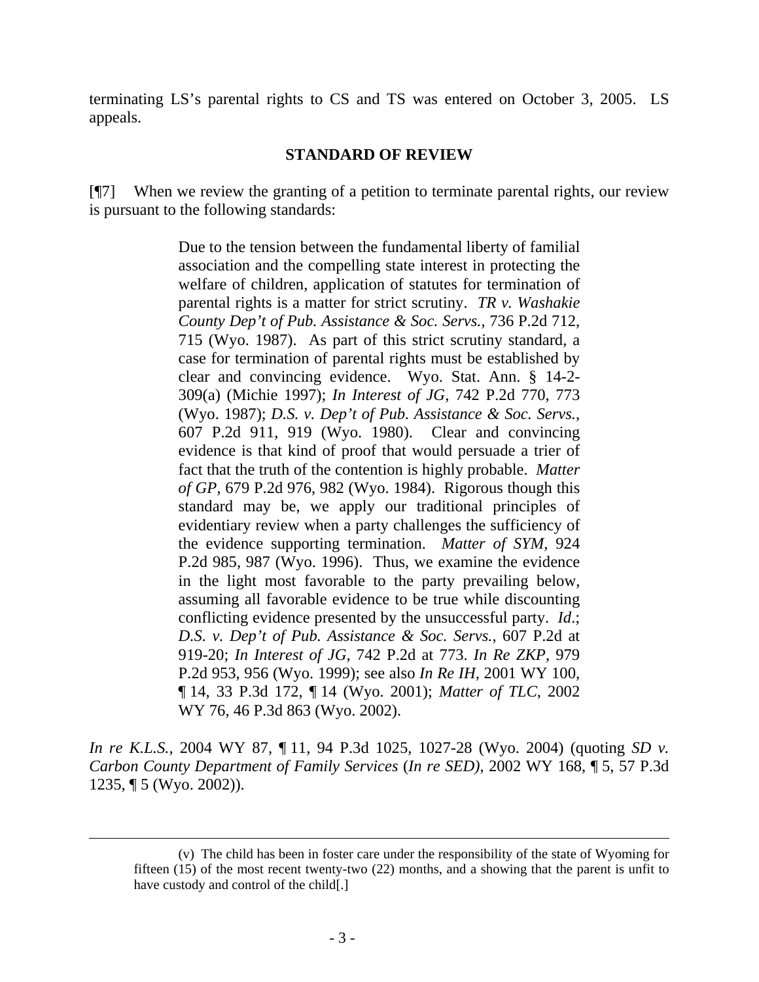terminating LS's parental rights to CS and TS was entered on October 3, 2005. LS appeals.

## **STANDARD OF REVIEW**

[¶7] When we review the granting of a petition to terminate parental rights, our review is pursuant to the following standards:

> Due to the tension between the fundamental liberty of familial association and the compelling state interest in protecting the welfare of children, application of statutes for termination of parental rights is a matter for strict scrutiny. *TR v. Washakie County Dep't of Pub. Assistance & Soc. Servs.*, 736 P.2d 712, 715 (Wyo. 1987). As part of this strict scrutiny standard, a case for termination of parental rights must be established by clear and convincing evidence. Wyo. Stat. Ann. § 14-2- 309(a) (Michie 1997); *In Interest of JG*, 742 P.2d 770, 773 (Wyo. 1987); *D.S. v. Dep't of Pub. Assistance & Soc. Servs.*, 607 P.2d 911, 919 (Wyo. 1980). Clear and convincing evidence is that kind of proof that would persuade a trier of fact that the truth of the contention is highly probable. *Matter of GP*, 679 P.2d 976, 982 (Wyo. 1984). Rigorous though this standard may be, we apply our traditional principles of evidentiary review when a party challenges the sufficiency of the evidence supporting termination. *Matter of SYM*, 924 P.2d 985, 987 (Wyo. 1996). Thus, we examine the evidence in the light most favorable to the party prevailing below, assuming all favorable evidence to be true while discounting conflicting evidence presented by the unsuccessful party. *Id*.; *D.S. v. Dep't of Pub. Assistance & Soc. Servs.*, 607 P.2d at 919-20; *In Interest of JG*, 742 P.2d at 773. *In Re ZKP*, 979 P.2d 953, 956 (Wyo. 1999); see also *In Re IH*, 2001 WY 100, ¶ 14, 33 P.3d 172, ¶ 14 (Wyo. 2001); *Matter of TLC*, 2002 WY 76, 46 P.3d 863 (Wyo. 2002).

*In re K.L.S.*, 2004 WY 87, ¶ 11, 94 P.3d 1025, 1027-28 (Wyo. 2004) (quoting *SD v. Carbon County Department of Family Services* (*In re SED)*, 2002 WY 168, ¶ 5, 57 P.3d 1235, ¶ 5 (Wyo. 2002)).

<sup>(</sup>v) The child has been in foster care under the responsibility of the state of Wyoming for fifteen (15) of the most recent twenty-two (22) months, and a showing that the parent is unfit to have custody and control of the child[.]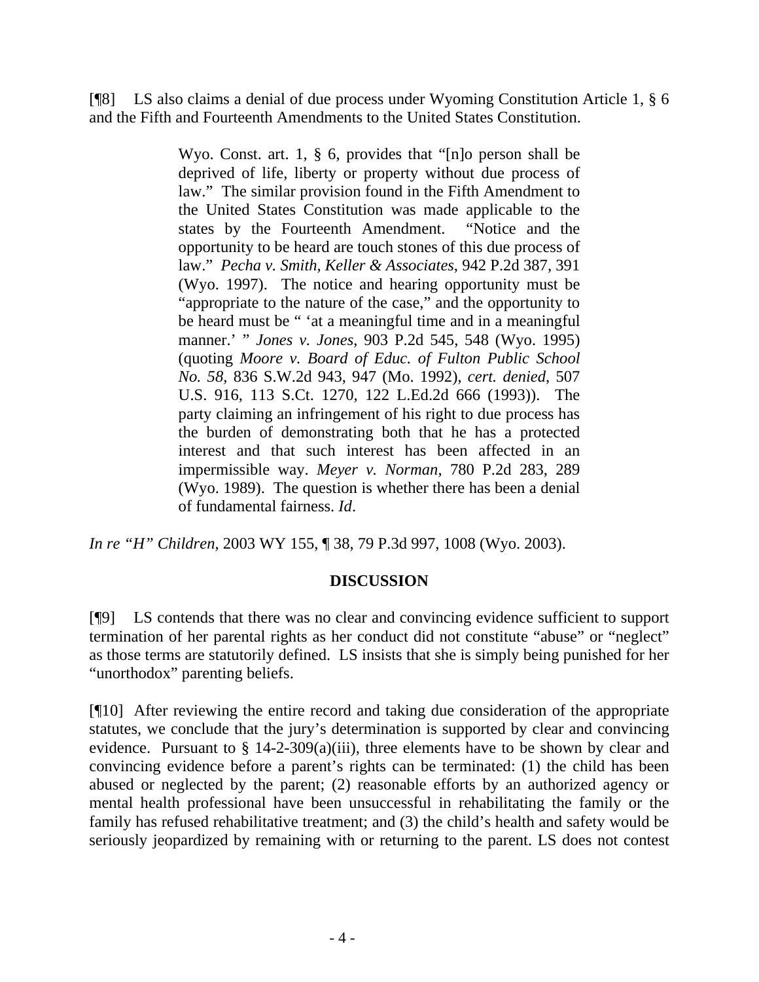[¶8] LS also claims a denial of due process under Wyoming Constitution Article 1, § 6 and the Fifth and Fourteenth Amendments to the United States Constitution.

> Wyo. Const. art. 1, § 6, provides that "[n]o person shall be deprived of life, liberty or property without due process of law." The similar provision found in the Fifth Amendment to the United States Constitution was made applicable to the states by the Fourteenth Amendment. "Notice and the opportunity to be heard are touch stones of this due process of law." *Pecha v. Smith, Keller & Associates*, 942 P.2d 387, 391 (Wyo. 1997). The notice and hearing opportunity must be "appropriate to the nature of the case," and the opportunity to be heard must be " 'at a meaningful time and in a meaningful manner.' " *Jones v. Jones*, 903 P.2d 545, 548 (Wyo. 1995) (quoting *Moore v. Board of Educ. of Fulton Public School No. 58*, 836 S.W.2d 943, 947 (Mo. 1992), *cert. denied*, 507 U.S. 916, 113 S.Ct. 1270, 122 L.Ed.2d 666 (1993)). The party claiming an infringement of his right to due process has the burden of demonstrating both that he has a protected interest and that such interest has been affected in an impermissible way. *Meyer v. Norman*, 780 P.2d 283, 289 (Wyo. 1989). The question is whether there has been a denial of fundamental fairness. *Id*.

*In re "H" Children*, 2003 WY 155, ¶ 38, 79 P.3d 997, 1008 (Wyo. 2003).

# **DISCUSSION**

[¶9] LS contends that there was no clear and convincing evidence sufficient to support termination of her parental rights as her conduct did not constitute "abuse" or "neglect" as those terms are statutorily defined. LS insists that she is simply being punished for her "unorthodox" parenting beliefs.

[¶10] After reviewing the entire record and taking due consideration of the appropriate statutes, we conclude that the jury's determination is supported by clear and convincing evidence. Pursuant to  $\S$  14-2-309(a)(iii), three elements have to be shown by clear and convincing evidence before a parent's rights can be terminated: (1) the child has been abused or neglected by the parent; (2) reasonable efforts by an authorized agency or mental health professional have been unsuccessful in rehabilitating the family or the family has refused rehabilitative treatment; and (3) the child's health and safety would be seriously jeopardized by remaining with or returning to the parent. LS does not contest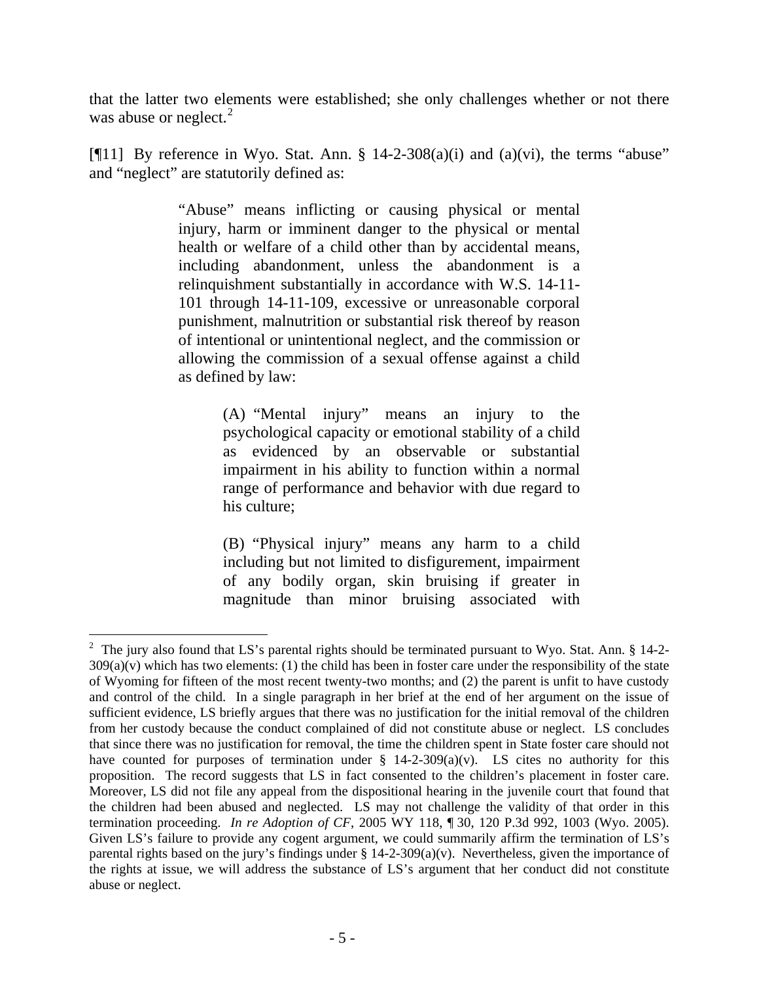that the latter two elements were established; she only challenges whether or not there was abuse or neglect. $2$ 

[ $[$ [11] By reference in Wyo. Stat. Ann. § 14-2-308(a)(i) and (a)(vi), the terms "abuse" and "neglect" are statutorily defined as:

> "Abuse" means inflicting or causing physical or mental injury, harm or imminent danger to the physical or mental health or welfare of a child other than by accidental means, including abandonment, unless the abandonment is a relinquishment substantially in accordance with W.S. 14-11- 101 through 14-11-109, excessive or unreasonable corporal punishment, malnutrition or substantial risk thereof by reason of intentional or unintentional neglect, and the commission or allowing the commission of a sexual offense against a child as defined by law:

> > (A) "Mental injury" means an injury to the psychological capacity or emotional stability of a child as evidenced by an observable or substantial impairment in his ability to function within a normal range of performance and behavior with due regard to his culture;

> > (B) "Physical injury" means any harm to a child including but not limited to disfigurement, impairment of any bodily organ, skin bruising if greater in magnitude than minor bruising associated with

 $\overline{a}$ 

<span id="page-7-0"></span><sup>&</sup>lt;sup>2</sup> The jury also found that LS's parental rights should be terminated pursuant to Wyo. Stat. Ann. § 14-2- $309(a)(v)$  which has two elements: (1) the child has been in foster care under the responsibility of the state of Wyoming for fifteen of the most recent twenty-two months; and (2) the parent is unfit to have custody and control of the child. In a single paragraph in her brief at the end of her argument on the issue of sufficient evidence, LS briefly argues that there was no justification for the initial removal of the children from her custody because the conduct complained of did not constitute abuse or neglect. LS concludes that since there was no justification for removal, the time the children spent in State foster care should not have counted for purposes of termination under  $\S$  14-2-309(a)(v). LS cites no authority for this proposition. The record suggests that LS in fact consented to the children's placement in foster care. Moreover, LS did not file any appeal from the dispositional hearing in the juvenile court that found that the children had been abused and neglected. LS may not challenge the validity of that order in this termination proceeding. *In re Adoption of CF*, 2005 WY 118, ¶ 30, 120 P.3d 992, 1003 (Wyo. 2005). Given LS's failure to provide any cogent argument, we could summarily affirm the termination of LS's parental rights based on the jury's findings under  $\S$  14-2-309(a)(v). Nevertheless, given the importance of the rights at issue, we will address the substance of LS's argument that her conduct did not constitute abuse or neglect.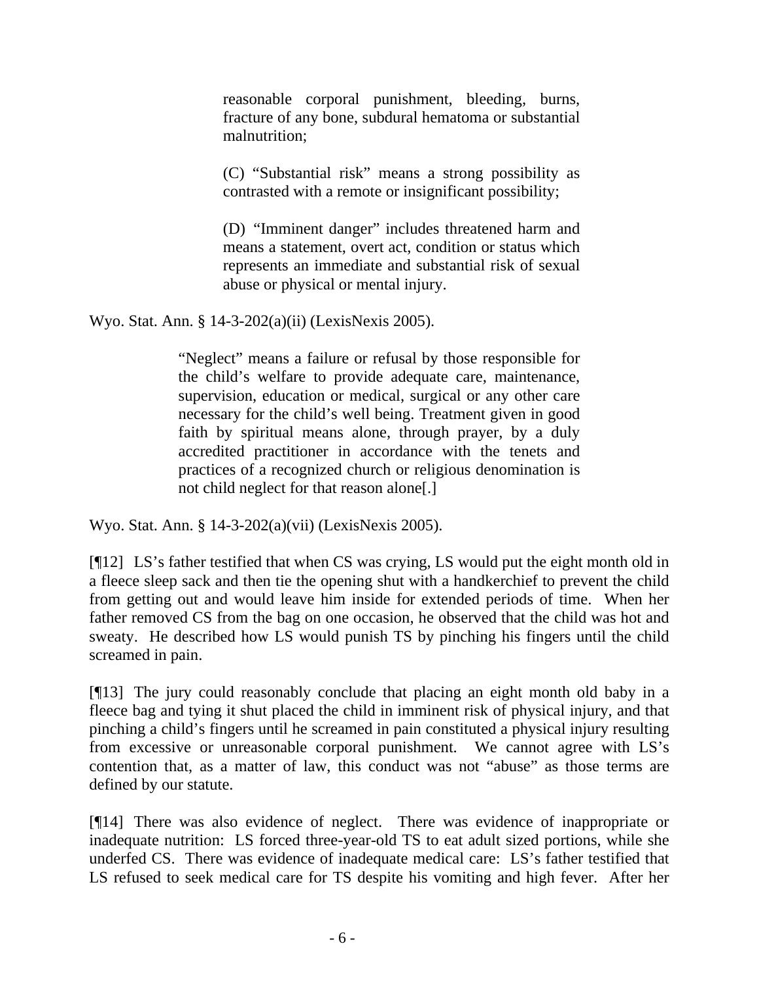reasonable corporal punishment, bleeding, burns, fracture of any bone, subdural hematoma or substantial malnutrition;

(C) "Substantial risk" means a strong possibility as contrasted with a remote or insignificant possibility;

(D) "Imminent danger" includes threatened harm and means a statement, overt act, condition or status which represents an immediate and substantial risk of sexual abuse or physical or mental injury.

Wyo. Stat. Ann. § 14-3-202(a)(ii) (LexisNexis 2005).

"Neglect" means a failure or refusal by those responsible for the child's welfare to provide adequate care, maintenance, supervision, education or medical, surgical or any other care necessary for the child's well being. Treatment given in good faith by spiritual means alone, through prayer, by a duly accredited practitioner in accordance with the tenets and practices of a recognized church or religious denomination is not child neglect for that reason alone[.]

Wyo. Stat. Ann. § 14-3-202(a)(vii) (LexisNexis 2005).

[¶12] LS's father testified that when CS was crying, LS would put the eight month old in a fleece sleep sack and then tie the opening shut with a handkerchief to prevent the child from getting out and would leave him inside for extended periods of time. When her father removed CS from the bag on one occasion, he observed that the child was hot and sweaty. He described how LS would punish TS by pinching his fingers until the child screamed in pain.

[¶13] The jury could reasonably conclude that placing an eight month old baby in a fleece bag and tying it shut placed the child in imminent risk of physical injury, and that pinching a child's fingers until he screamed in pain constituted a physical injury resulting from excessive or unreasonable corporal punishment. We cannot agree with LS's contention that, as a matter of law, this conduct was not "abuse" as those terms are defined by our statute.

[¶14] There was also evidence of neglect. There was evidence of inappropriate or inadequate nutrition: LS forced three-year-old TS to eat adult sized portions, while she underfed CS. There was evidence of inadequate medical care: LS's father testified that LS refused to seek medical care for TS despite his vomiting and high fever. After her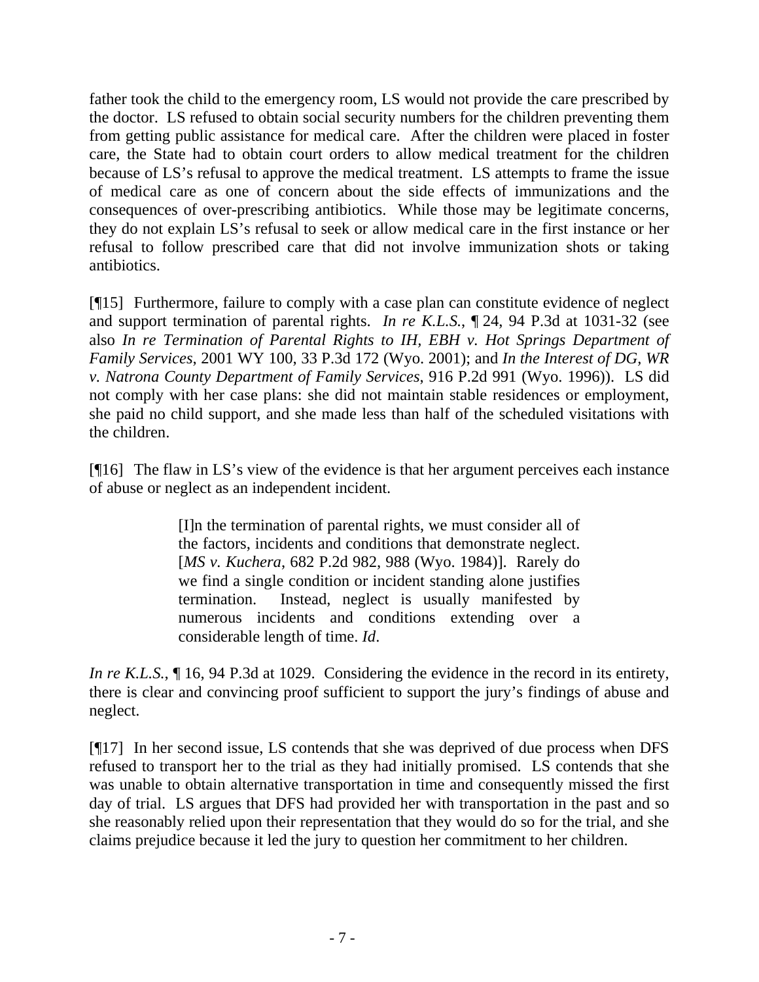father took the child to the emergency room, LS would not provide the care prescribed by the doctor. LS refused to obtain social security numbers for the children preventing them from getting public assistance for medical care. After the children were placed in foster care, the State had to obtain court orders to allow medical treatment for the children because of LS's refusal to approve the medical treatment. LS attempts to frame the issue of medical care as one of concern about the side effects of immunizations and the consequences of over-prescribing antibiotics. While those may be legitimate concerns, they do not explain LS's refusal to seek or allow medical care in the first instance or her refusal to follow prescribed care that did not involve immunization shots or taking antibiotics.

[¶15] Furthermore, failure to comply with a case plan can constitute evidence of neglect and support termination of parental rights. *In re K.L.S.*, ¶ 24, 94 P.3d at 1031-32 (see also *In re Termination of Parental Rights to IH, EBH v. Hot Springs Department of Family Services*, 2001 WY 100, 33 P.3d 172 (Wyo. 2001); and *In the Interest of DG, WR v. Natrona County Department of Family Services*, 916 P.2d 991 (Wyo. 1996)). LS did not comply with her case plans: she did not maintain stable residences or employment, she paid no child support, and she made less than half of the scheduled visitations with the children.

[¶16] The flaw in LS's view of the evidence is that her argument perceives each instance of abuse or neglect as an independent incident.

> [I]n the termination of parental rights, we must consider all of the factors, incidents and conditions that demonstrate neglect. [*MS v. Kuchera*, 682 P.2d 982, 988 (Wyo. 1984)]. Rarely do we find a single condition or incident standing alone justifies termination. Instead, neglect is usually manifested by numerous incidents and conditions extending over a considerable length of time. *Id*.

*In re K.L.S.*,  $\parallel$  16, 94 P.3d at 1029. Considering the evidence in the record in its entirety, there is clear and convincing proof sufficient to support the jury's findings of abuse and neglect.

[¶17] In her second issue, LS contends that she was deprived of due process when DFS refused to transport her to the trial as they had initially promised. LS contends that she was unable to obtain alternative transportation in time and consequently missed the first day of trial. LS argues that DFS had provided her with transportation in the past and so she reasonably relied upon their representation that they would do so for the trial, and she claims prejudice because it led the jury to question her commitment to her children.